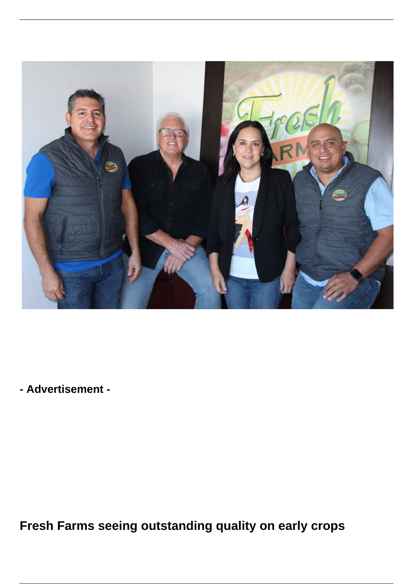

**- Advertisement -**

**Fresh Farms seeing outstanding quality on early crops**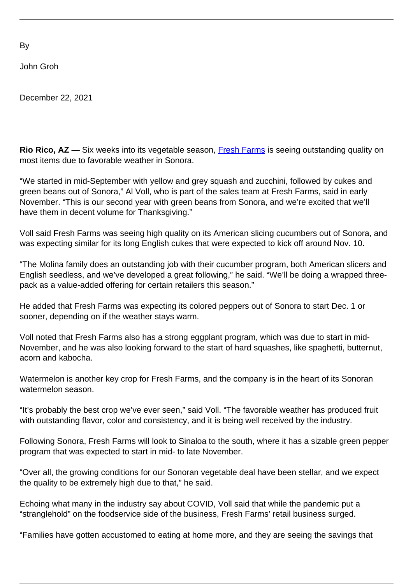By

John Groh

December 22, 2021

**Rio Rico, AZ** — Six weeks into its vegetable season, **Fresh Farms** is seeing outstanding quality on most items due to favorable weather in Sonora.

"We started in mid-September with yellow and grey squash and zucchini, followed by cukes and green beans out of Sonora," Al Voll, who is part of the sales team at Fresh Farms, said in early November. "This is our second year with green beans from Sonora, and we're excited that we'll have them in decent volume for Thanksgiving."

Voll said Fresh Farms was seeing high quality on its American slicing cucumbers out of Sonora, and was expecting similar for its long English cukes that were expected to kick off around Nov. 10.

"The Molina family does an outstanding job with their cucumber program, both American slicers and English seedless, and we've developed a great following," he said. "We'll be doing a wrapped threepack as a value-added offering for certain retailers this season."

He added that Fresh Farms was expecting its colored peppers out of Sonora to start Dec. 1 or sooner, depending on if the weather stays warm.

Voll noted that Fresh Farms also has a strong eggplant program, which was due to start in mid-November, and he was also looking forward to the start of hard squashes, like spaghetti, butternut, acorn and kabocha.

Watermelon is another key crop for Fresh Farms, and the company is in the heart of its Sonoran watermelon season.

"It's probably the best crop we've ever seen," said Voll. "The favorable weather has produced fruit with outstanding flavor, color and consistency, and it is being well received by the industry.

Following Sonora, Fresh Farms will look to Sinaloa to the south, where it has a sizable green pepper program that was expected to start in mid- to late November.

"Over all, the growing conditions for our Sonoran vegetable deal have been stellar, and we expect the quality to be extremely high due to that," he said.

Echoing what many in the industry say about COVID, Voll said that while the pandemic put a "stranglehold" on the foodservice side of the business, Fresh Farms' retail business surged.

"Families have gotten accustomed to eating at home more, and they are seeing the savings that